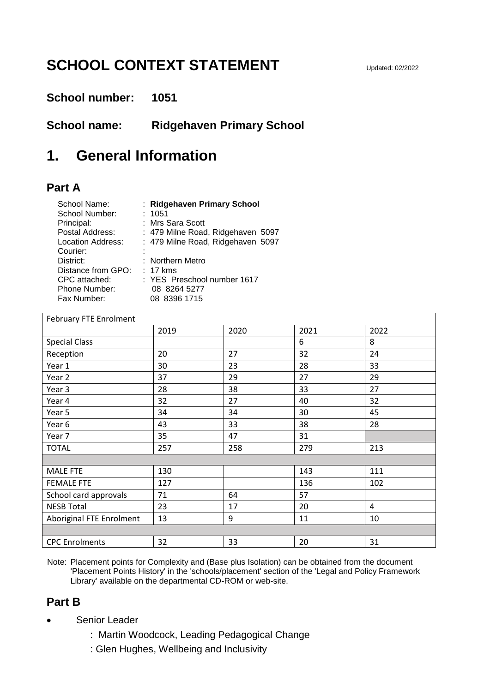# **SCHOOL CONTEXT STATEMENT**

#### **School number: 1051**

**School name: Ridgehaven Primary School**

### **1. General Information**

#### **Part A**

| School Name:<br>School Number:<br>Principal:<br>Postal Address:<br>Location Address:<br>Courier:<br>District:<br>Distance from GPO: | : Ridgehaven Primary School<br>: 1051<br>: Mrs Sara Scott<br>: 479 Milne Road, Ridgehaven 5097<br>: 479 Milne Road, Ridgehaven 5097<br>: Northern Metro<br>$: 17$ kms |  |
|-------------------------------------------------------------------------------------------------------------------------------------|-----------------------------------------------------------------------------------------------------------------------------------------------------------------------|--|
| CPC attached:<br>Phone Number:<br>Fax Number:                                                                                       | : YES Preschool number 1617<br>08 8264 5277<br>08 8396 1715                                                                                                           |  |

| February FTE Enrolment   |      |      |      |      |  |  |
|--------------------------|------|------|------|------|--|--|
|                          | 2019 | 2020 | 2021 | 2022 |  |  |
| <b>Special Class</b>     |      |      | 6    | 8    |  |  |
| Reception                | 20   | 27   | 32   | 24   |  |  |
| Year 1                   | 30   | 23   | 28   | 33   |  |  |
| Year <sub>2</sub>        | 37   | 29   | 27   | 29   |  |  |
| Year <sub>3</sub>        | 28   | 38   | 33   | 27   |  |  |
| Year 4                   | 32   | 27   | 40   | 32   |  |  |
| Year 5                   | 34   | 34   | 30   | 45   |  |  |
| Year <sub>6</sub>        | 43   | 33   | 38   | 28   |  |  |
| Year 7                   | 35   | 47   | 31   |      |  |  |
| <b>TOTAL</b>             | 257  | 258  | 279  | 213  |  |  |
|                          |      |      |      |      |  |  |
| <b>MALE FTE</b>          | 130  |      | 143  | 111  |  |  |
| <b>FEMALE FTE</b>        | 127  |      | 136  | 102  |  |  |
| School card approvals    | 71   | 64   | 57   |      |  |  |
| <b>NESB Total</b>        | 23   | 17   | 20   | 4    |  |  |
| Aboriginal FTE Enrolment | 13   | 9    | 11   | 10   |  |  |
|                          |      |      |      |      |  |  |
| <b>CPC</b> Enrolments    | 32   | 33   | 20   | 31   |  |  |

Note: Placement points for Complexity and (Base plus Isolation) can be obtained from the document 'Placement Points History' in the 'schools/placement' section of the 'Legal and Policy Framework Library' available on the departmental CD-ROM or web-site.

### **Part B**

- Senior Leader
	- : Martin Woodcock, Leading Pedagogical Change
	- : Glen Hughes, Wellbeing and Inclusivity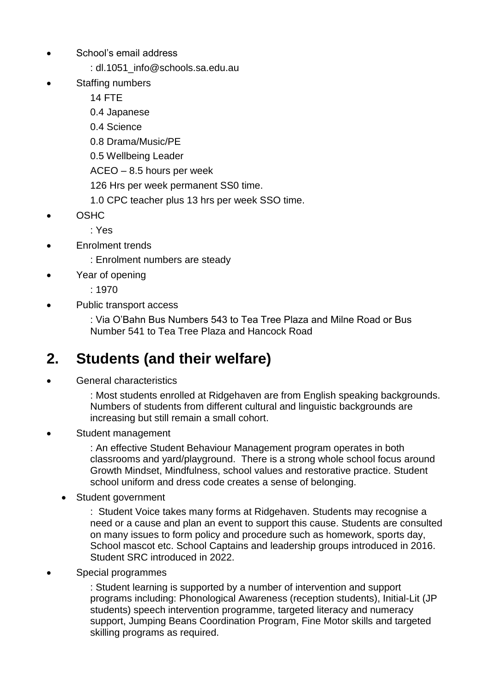- School's email address
	- : dl.1051\_info@schools.sa.edu.au
- Staffing numbers

14 FTE

- 0.4 Japanese
- 0.4 Science
- 0.8 Drama/Music/PE
- 0.5 Wellbeing Leader
- ACEO 8.5 hours per week
- 126 Hrs per week permanent SS0 time.
- 1.0 CPC teacher plus 13 hrs per week SSO time.
- OSHC

: Yes

**Enrolment trends** 

: Enrolment numbers are steady

Year of opening

: 1970

Public transport access

: Via O'Bahn Bus Numbers 543 to Tea Tree Plaza and Milne Road or Bus Number 541 to Tea Tree Plaza and Hancock Road

# **2. Students (and their welfare)**

General characteristics

: Most students enrolled at Ridgehaven are from English speaking backgrounds. Numbers of students from different cultural and linguistic backgrounds are increasing but still remain a small cohort.

Student management

: An effective Student Behaviour Management program operates in both classrooms and yard/playground. There is a strong whole school focus around Growth Mindset, Mindfulness, school values and restorative practice. Student school uniform and dress code creates a sense of belonging.

• Student government

: Student Voice takes many forms at Ridgehaven. Students may recognise a need or a cause and plan an event to support this cause. Students are consulted on many issues to form policy and procedure such as homework, sports day, School mascot etc. School Captains and leadership groups introduced in 2016. Student SRC introduced in 2022.

• Special programmes

: Student learning is supported by a number of intervention and support programs including: Phonological Awareness (reception students), Initial-Lit (JP students) speech intervention programme, targeted literacy and numeracy support, Jumping Beans Coordination Program, Fine Motor skills and targeted skilling programs as required.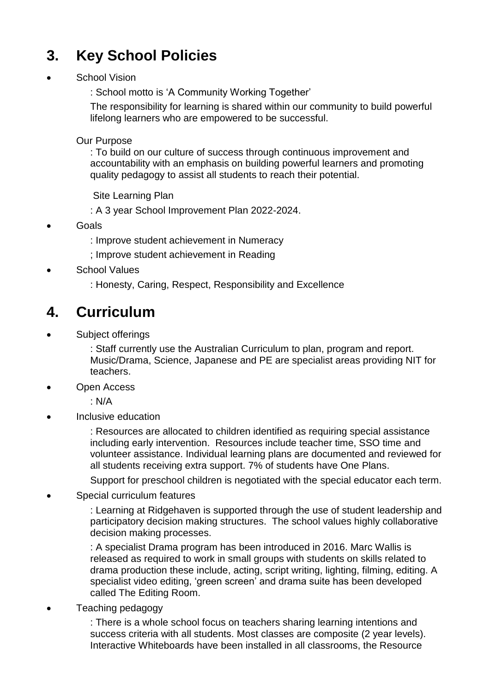# **3. Key School Policies**

School Vision

: School motto is 'A Community Working Together'

The responsibility for learning is shared within our community to build powerful lifelong learners who are empowered to be successful.

Our Purpose

: To build on our culture of success through continuous improvement and accountability with an emphasis on building powerful learners and promoting quality pedagogy to assist all students to reach their potential.

Site Learning Plan

: A 3 year School Improvement Plan 2022-2024.

- **Goals** 
	- : Improve student achievement in Numeracy
	- ; Improve student achievement in Reading
- School Values
	- : Honesty, Caring, Respect, Responsibility and Excellence

### **4. Curriculum**

Subject offerings

: Staff currently use the Australian Curriculum to plan, program and report. Music/Drama, Science, Japanese and PE are specialist areas providing NIT for teachers.

• Open Access

: N/A

• Inclusive education

: Resources are allocated to children identified as requiring special assistance including early intervention. Resources include teacher time, SSO time and volunteer assistance. Individual learning plans are documented and reviewed for all students receiving extra support. 7% of students have One Plans.

Support for preschool children is negotiated with the special educator each term.

Special curriculum features

: Learning at Ridgehaven is supported through the use of student leadership and participatory decision making structures. The school values highly collaborative decision making processes.

: A specialist Drama program has been introduced in 2016. Marc Wallis is released as required to work in small groups with students on skills related to drama production these include, acting, script writing, lighting, filming, editing. A specialist video editing, 'green screen' and drama suite has been developed called The Editing Room.

• Teaching pedagogy

: There is a whole school focus on teachers sharing learning intentions and success criteria with all students. Most classes are composite (2 year levels). Interactive Whiteboards have been installed in all classrooms, the Resource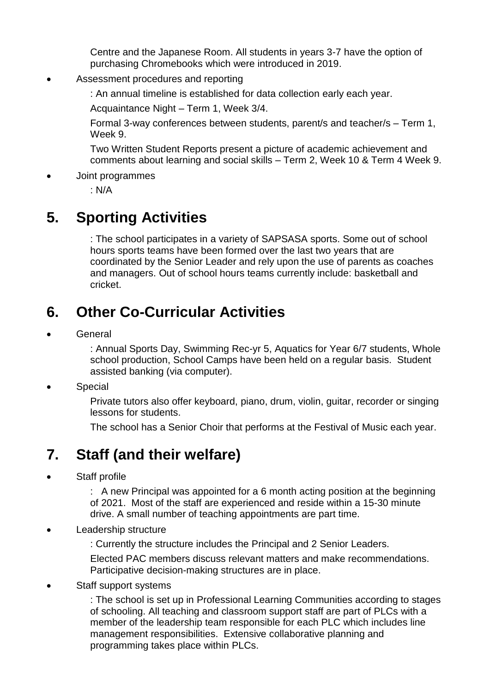Centre and the Japanese Room. All students in years 3-7 have the option of purchasing Chromebooks which were introduced in 2019.

#### • Assessment procedures and reporting

: An annual timeline is established for data collection early each year.

Acquaintance Night – Term 1, Week 3/4.

Formal 3-way conferences between students, parent/s and teacher/s – Term 1, Week 9.

Two Written Student Reports present a picture of academic achievement and comments about learning and social skills – Term 2, Week 10 & Term 4 Week 9.

• Joint programmes

: N/A

## **5. Sporting Activities**

: The school participates in a variety of SAPSASA sports. Some out of school hours sports teams have been formed over the last two years that are coordinated by the Senior Leader and rely upon the use of parents as coaches and managers. Out of school hours teams currently include: basketball and cricket.

## **6. Other Co-Curricular Activities**

**General** 

: Annual Sports Day, Swimming Rec-yr 5, Aquatics for Year 6/7 students, Whole school production, School Camps have been held on a regular basis. Student assisted banking (via computer).

• Special

Private tutors also offer keyboard, piano, drum, violin, guitar, recorder or singing lessons for students.

The school has a Senior Choir that performs at the Festival of Music each year.

### **7. Staff (and their welfare)**

• Staff profile

: A new Principal was appointed for a 6 month acting position at the beginning of 2021. Most of the staff are experienced and reside within a 15-30 minute drive. A small number of teaching appointments are part time.

- Leadership structure
	- : Currently the structure includes the Principal and 2 Senior Leaders.

Elected PAC members discuss relevant matters and make recommendations. Participative decision-making structures are in place.

• Staff support systems

: The school is set up in Professional Learning Communities according to stages of schooling. All teaching and classroom support staff are part of PLCs with a member of the leadership team responsible for each PLC which includes line management responsibilities. Extensive collaborative planning and programming takes place within PLCs.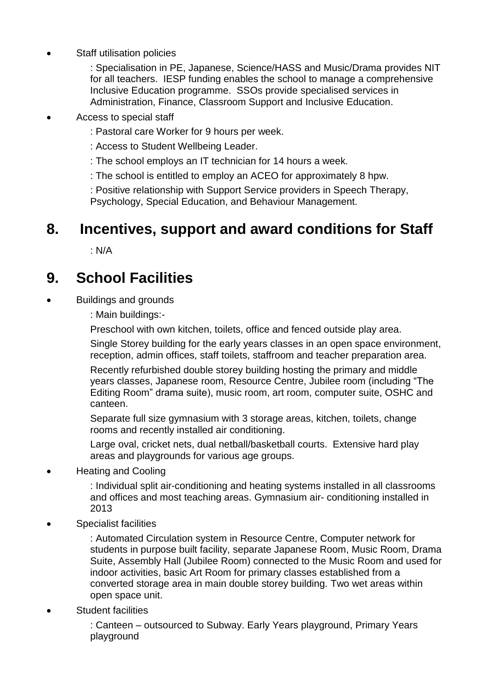• Staff utilisation policies

: Specialisation in PE, Japanese, Science/HASS and Music/Drama provides NIT for all teachers. IESP funding enables the school to manage a comprehensive Inclusive Education programme. SSOs provide specialised services in Administration, Finance, Classroom Support and Inclusive Education.

- Access to special staff
	- : Pastoral care Worker for 9 hours per week.
	- : Access to Student Wellbeing Leader.
	- : The school employs an IT technician for 14 hours a week.
	- : The school is entitled to employ an ACEO for approximately 8 hpw.

: Positive relationship with Support Service providers in Speech Therapy, Psychology, Special Education, and Behaviour Management.

## **8. Incentives, support and award conditions for Staff**

: N/A

## **9. School Facilities**

- Buildings and grounds
	- : Main buildings:-
	- Preschool with own kitchen, toilets, office and fenced outside play area.
	- Single Storey building for the early years classes in an open space environment, reception, admin offices, staff toilets, staffroom and teacher preparation area.
	- Recently refurbished double storey building hosting the primary and middle years classes, Japanese room, Resource Centre, Jubilee room (including "The Editing Room" drama suite), music room, art room, computer suite, OSHC and canteen.
	- Separate full size gymnasium with 3 storage areas, kitchen, toilets, change rooms and recently installed air conditioning.
	- Large oval, cricket nets, dual netball/basketball courts. Extensive hard play areas and playgrounds for various age groups.
- Heating and Cooling
	- : Individual split air-conditioning and heating systems installed in all classrooms and offices and most teaching areas. Gymnasium air- conditioning installed in 2013
- Specialist facilities
	- : Automated Circulation system in Resource Centre, Computer network for students in purpose built facility, separate Japanese Room, Music Room, Drama Suite, Assembly Hall (Jubilee Room) connected to the Music Room and used for indoor activities, basic Art Room for primary classes established from a converted storage area in main double storey building. Two wet areas within open space unit.
- **Student facilities** 
	- : Canteen outsourced to Subway. Early Years playground, Primary Years playground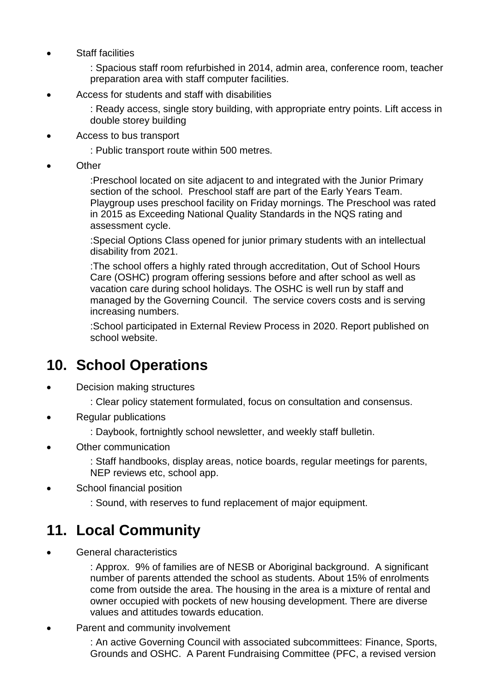• Staff facilities

: Spacious staff room refurbished in 2014, admin area, conference room, teacher preparation area with staff computer facilities.

• Access for students and staff with disabilities

: Ready access, single story building, with appropriate entry points. Lift access in double storey building

• Access to bus transport

: Public transport route within 500 metres.

**Other** 

:Preschool located on site adjacent to and integrated with the Junior Primary section of the school. Preschool staff are part of the Early Years Team. Playgroup uses preschool facility on Friday mornings. The Preschool was rated in 2015 as Exceeding National Quality Standards in the NQS rating and assessment cycle.

:Special Options Class opened for junior primary students with an intellectual disability from 2021.

:The school offers a highly rated through accreditation, Out of School Hours Care (OSHC) program offering sessions before and after school as well as vacation care during school holidays. The OSHC is well run by staff and managed by the Governing Council. The service covers costs and is serving increasing numbers.

:School participated in External Review Process in 2020. Report published on school website.

### **10. School Operations**

- Decision making structures
	- : Clear policy statement formulated, focus on consultation and consensus.
- Regular publications
	- : Daybook, fortnightly school newsletter, and weekly staff bulletin.
- Other communication

: Staff handbooks, display areas, notice boards, regular meetings for parents, NEP reviews etc, school app.

- School financial position
	- : Sound, with reserves to fund replacement of major equipment.

### **11. Local Community**

General characteristics

: Approx. 9% of families are of NESB or Aboriginal background. A significant number of parents attended the school as students. About 15% of enrolments come from outside the area. The housing in the area is a mixture of rental and owner occupied with pockets of new housing development. There are diverse values and attitudes towards education.

Parent and community involvement

: An active Governing Council with associated subcommittees: Finance, Sports, Grounds and OSHC. A Parent Fundraising Committee (PFC, a revised version